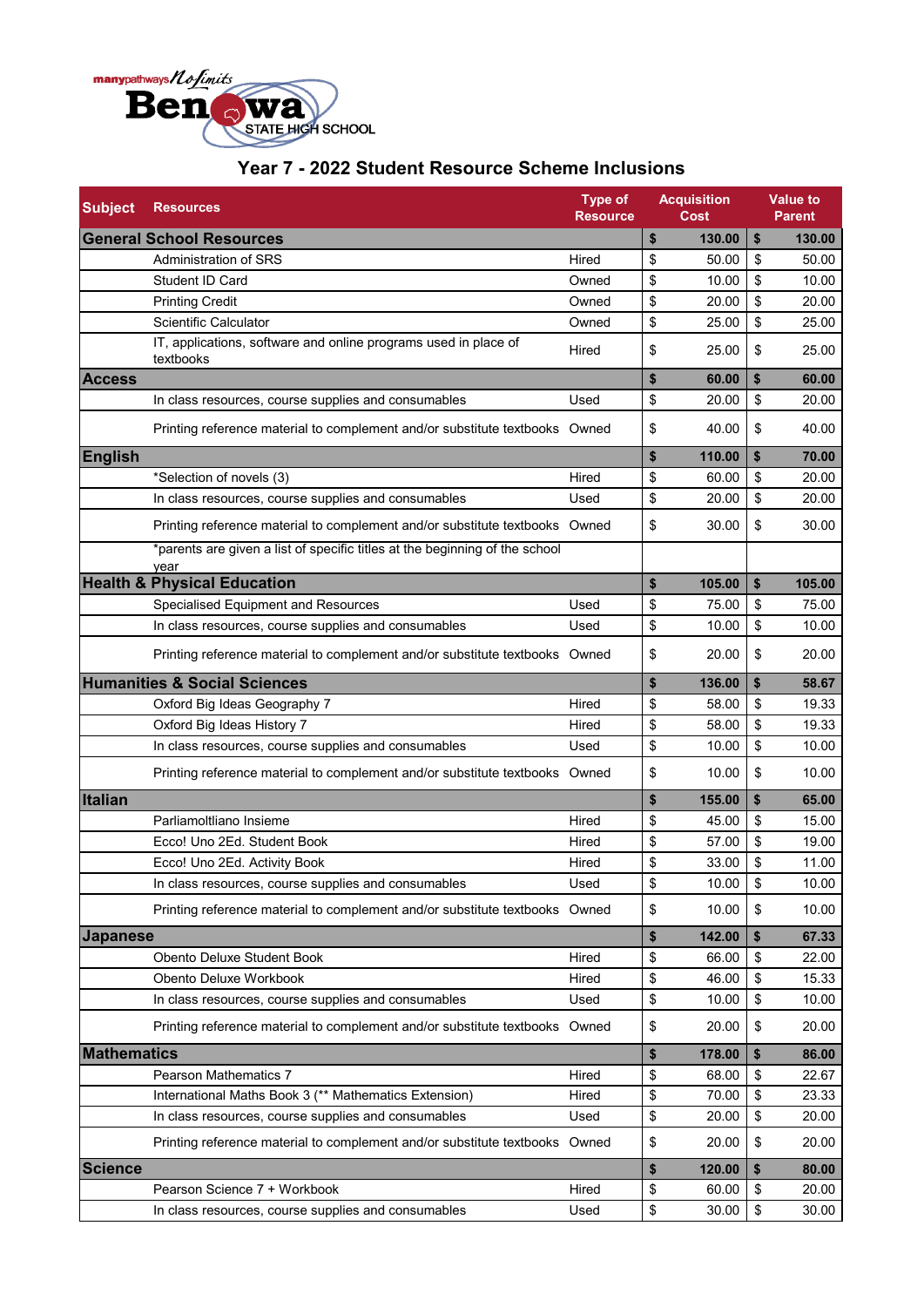

## **Year 7 - 2022 Student Resource Scheme Inclusions**

| <b>Subject</b>                          | <b>Resources</b>                                                                    | <b>Type of</b><br><b>Resource</b> | <b>Acquisition</b><br><b>Cost</b> | <b>Value to</b><br><b>Parent</b> |  |
|-----------------------------------------|-------------------------------------------------------------------------------------|-----------------------------------|-----------------------------------|----------------------------------|--|
| <b>General School Resources</b>         | \$<br>130.00                                                                        | \$<br>130.00                      |                                   |                                  |  |
|                                         | Administration of SRS                                                               | Hired                             | \$<br>50.00                       | \$<br>50.00                      |  |
|                                         | Student ID Card                                                                     | Owned                             | \$<br>10.00                       | \$<br>10.00                      |  |
|                                         | <b>Printing Credit</b>                                                              | Owned                             | \$<br>20.00                       | \$<br>20.00                      |  |
|                                         | Scientific Calculator                                                               | Owned                             | \$<br>25.00                       | \$<br>25.00                      |  |
|                                         | IT, applications, software and online programs used in place of<br>textbooks        | Hired                             | \$<br>25.00                       | \$<br>25.00                      |  |
| <b>Access</b>                           |                                                                                     |                                   | \$<br>60.00                       | \$<br>60.00                      |  |
|                                         | In class resources, course supplies and consumables                                 | Used                              | \$<br>20.00                       | \$<br>20.00                      |  |
|                                         | Printing reference material to complement and/or substitute textbooks Owned         |                                   | \$<br>40.00                       | \$<br>40.00                      |  |
| <b>English</b>                          |                                                                                     |                                   | \$<br>110.00                      | \$<br>70.00                      |  |
|                                         | *Selection of novels (3)                                                            | Hired                             | \$<br>60.00                       | \$<br>20.00                      |  |
|                                         | In class resources, course supplies and consumables                                 | Used                              | \$<br>20.00                       | \$<br>20.00                      |  |
|                                         | Printing reference material to complement and/or substitute textbooks Owned         |                                   | \$<br>30.00                       | \$<br>30.00                      |  |
|                                         | *parents are given a list of specific titles at the beginning of the school<br>year |                                   |                                   |                                  |  |
|                                         | <b>Health &amp; Physical Education</b>                                              |                                   | \$<br>105.00                      | \$<br>105.00                     |  |
|                                         | Specialised Equipment and Resources                                                 | Used                              | \$<br>75.00                       | \$<br>75.00                      |  |
|                                         | In class resources, course supplies and consumables                                 | Used                              | \$<br>10.00                       | \$<br>10.00                      |  |
|                                         | Printing reference material to complement and/or substitute textbooks Owned         |                                   | \$<br>20.00                       | \$<br>20.00                      |  |
| <b>Humanities &amp; Social Sciences</b> |                                                                                     | \$<br>136.00                      | \$<br>58.67                       |                                  |  |
|                                         | Oxford Big Ideas Geography 7                                                        | Hired                             | \$<br>58.00                       | \$<br>19.33                      |  |
|                                         | Oxford Big Ideas History 7                                                          | Hired                             | \$<br>58.00                       | \$<br>19.33                      |  |
|                                         | In class resources, course supplies and consumables                                 | Used                              | \$<br>10.00                       | \$<br>10.00                      |  |
|                                         | Printing reference material to complement and/or substitute textbooks Owned         |                                   | \$<br>10.00                       | \$<br>10.00                      |  |
| Italian                                 |                                                                                     |                                   | \$<br>155.00                      | \$<br>65.00                      |  |
|                                         | Parliamoltliano Insieme                                                             | Hired                             | \$<br>45.00                       | \$<br>15.00                      |  |
|                                         | Ecco! Uno 2Ed. Student Book                                                         | Hired                             | \$<br>57.00                       | \$<br>19.00                      |  |
|                                         | Ecco! Uno 2Ed. Activity Book                                                        | Hired                             | \$<br>33.00                       | \$<br>11.00                      |  |
|                                         | In class resources, course supplies and consumables                                 | Used                              | \$<br>10.00                       | \$<br>10.00                      |  |
|                                         | Printing reference material to complement and/or substitute textbooks Owned         |                                   | \$<br>10.00                       | \$<br>10.00                      |  |
| <b>Japanese</b>                         |                                                                                     | \$<br>142.00                      | \$<br>67.33                       |                                  |  |
|                                         | Obento Deluxe Student Book                                                          | Hired                             | \$<br>66.00                       | \$<br>22.00                      |  |
|                                         | Obento Deluxe Workbook                                                              | Hired                             | \$<br>46.00                       | \$<br>15.33                      |  |
|                                         | In class resources, course supplies and consumables                                 | Used                              | \$<br>10.00                       | \$<br>10.00                      |  |
|                                         | Printing reference material to complement and/or substitute textbooks Owned         |                                   | \$<br>20.00                       | \$<br>20.00                      |  |
| <b>Mathematics</b>                      |                                                                                     | \$<br>178.00                      | \$<br>86.00                       |                                  |  |
|                                         | Pearson Mathematics 7                                                               | Hired                             | \$<br>68.00                       | \$<br>22.67                      |  |
|                                         | International Maths Book 3 (** Mathematics Extension)                               | Hired                             | \$<br>70.00                       | \$<br>23.33                      |  |
|                                         | In class resources, course supplies and consumables                                 | Used                              | \$<br>20.00                       | \$<br>20.00                      |  |
|                                         | Printing reference material to complement and/or substitute textbooks Owned         |                                   | \$<br>20.00                       | \$<br>20.00                      |  |
| <b>Science</b>                          |                                                                                     |                                   | \$<br>120.00                      | \$<br>80.00                      |  |
|                                         | Pearson Science 7 + Workbook                                                        | Hired                             | \$<br>60.00                       | \$<br>20.00                      |  |
|                                         | In class resources, course supplies and consumables                                 | Used                              | \$<br>30.00                       | \$<br>30.00                      |  |